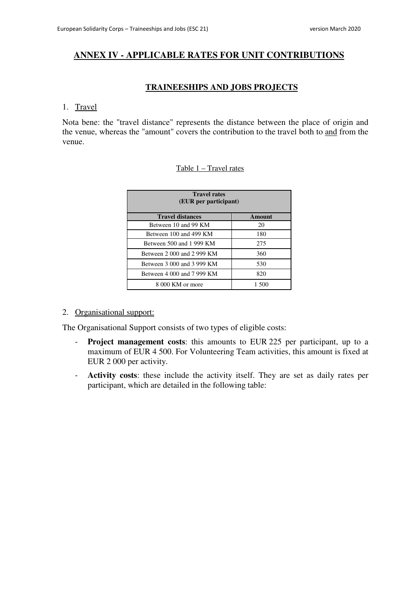# **ANNEX IV - APPLICABLE RATES FOR UNIT CONTRIBUTIONS**

## **TRAINEESHIPS AND JOBS PROJECTS**

## 1. Travel

Nota bene: the "travel distance" represents the distance between the place of origin and the venue, whereas the "amount" covers the contribution to the travel both to and from the venue.

## Table 1 – Travel rates

| <b>Travel rates</b><br>(EUR per participant) |        |  |
|----------------------------------------------|--------|--|
| <b>Travel distances</b>                      | Amount |  |
| Between 10 and 99 KM                         | 20     |  |
| Between 100 and 499 KM                       | 180    |  |
| Between 500 and 1 999 KM                     | 275    |  |
| Between 2 000 and 2 999 KM                   | 360    |  |
| Between 3 000 and 3 999 KM                   | 530    |  |
| Between 4 000 and 7 999 KM                   | 820    |  |
| 8 000 KM or more                             | 1.500  |  |

## 2. Organisational support:

The Organisational Support consists of two types of eligible costs:

- **Project management costs**: this amounts to EUR 225 per participant, up to a maximum of EUR 4 500. For Volunteering Team activities, this amount is fixed at EUR 2 000 per activity.
- **Activity costs**: these include the activity itself. They are set as daily rates per participant, which are detailed in the following table: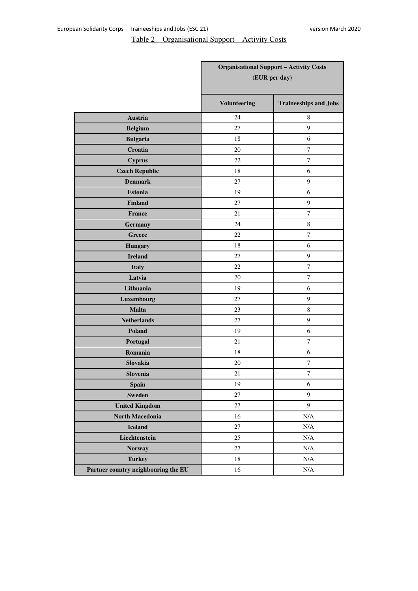# Table 2 – Organisational Support – Activity Costs

|                                     | <b>Organisational Support - Activity Costs</b><br>(EUR per day) |                              |
|-------------------------------------|-----------------------------------------------------------------|------------------------------|
|                                     | Volunteering                                                    | <b>Traineeships and Jobs</b> |
| Austria                             | 24                                                              | 8                            |
| <b>Belgium</b>                      | 27                                                              | 9                            |
| <b>Bulgaria</b>                     | 18                                                              | 6                            |
| Croatia                             | 20                                                              | $\tau$                       |
| <b>Cyprus</b>                       | 22                                                              | $\tau$                       |
| <b>Czech Republic</b>               | 18                                                              | 6                            |
| <b>Denmark</b>                      | 27                                                              | $\boldsymbol{9}$             |
| <b>Estonia</b>                      | 19                                                              | 6                            |
| <b>Finland</b>                      | 27                                                              | $\boldsymbol{9}$             |
| <b>France</b>                       | 21                                                              | $\tau$                       |
| <b>Germany</b>                      | 24                                                              | $\,$ 8 $\,$                  |
| Greece                              | 22                                                              | $\tau$                       |
| <b>Hungary</b>                      | 18                                                              | 6                            |
| <b>Ireland</b>                      | 27                                                              | 9                            |
| <b>Italy</b>                        | 22                                                              | $\overline{7}$               |
| Latvia                              | 20                                                              | $\tau$                       |
| Lithuania                           | 19                                                              | 6                            |
| Luxembourg                          | 27                                                              | 9                            |
| <b>Malta</b>                        | 23                                                              | $\,8\,$                      |
| <b>Netherlands</b>                  | 27                                                              | $\boldsymbol{9}$             |
| <b>Poland</b>                       | 19                                                              | 6                            |
| Portugal                            | 21                                                              | $\tau$                       |
| Romania                             | 18                                                              | 6                            |
| Slovakia                            | 20                                                              | 7                            |
| Slovenia                            | 21                                                              | $\overline{7}$               |
| <b>Spain</b>                        | 19                                                              | $\sqrt{6}$                   |
| <b>Sweden</b>                       | 27                                                              | 9                            |
| <b>United Kingdom</b>               | 27                                                              | 9                            |
| North Macedonia                     | 16                                                              | $\rm N/A$                    |
| <b>Iceland</b>                      | 27                                                              | $\rm N/A$                    |
| Liechtenstein                       | 25                                                              | $\rm N/A$                    |
| <b>Norway</b>                       | $27\,$                                                          | $\rm N/A$                    |
| <b>Turkey</b>                       | $18\,$                                                          | $\rm N/A$                    |
| Partner country neighbouring the EU | 16                                                              | $\rm N/A$                    |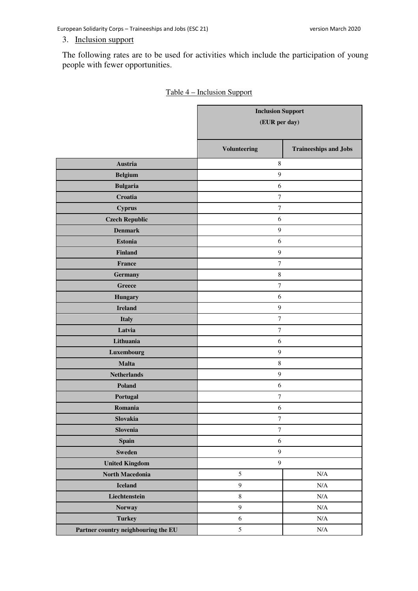European Solidarity Corps – Traineeships and Jobs (ESC 21) version March 2020

## 3. Inclusion support

The following rates are to be used for activities which include the participation of young people with fewer opportunities.

|                                     | <b>Inclusion Support</b><br>(EUR per day) |                              |
|-------------------------------------|-------------------------------------------|------------------------------|
|                                     | Volunteering                              | <b>Traineeships and Jobs</b> |
| Austria                             | $\,$ 8 $\,$                               |                              |
| <b>Belgium</b>                      | $\mathbf{9}$                              |                              |
| <b>Bulgaria</b>                     | $\sqrt{6}$                                |                              |
| Croatia                             | $\boldsymbol{7}$                          |                              |
| <b>Cyprus</b>                       | $\boldsymbol{7}$                          |                              |
| <b>Czech Republic</b>               | $\sqrt{6}$                                |                              |
| <b>Denmark</b>                      | $\boldsymbol{9}$                          |                              |
| <b>Estonia</b>                      | $\sqrt{6}$                                |                              |
| <b>Finland</b>                      | $\boldsymbol{9}$                          |                              |
| France                              | $\boldsymbol{7}$                          |                              |
| Germany                             | $\,8\,$                                   |                              |
| Greece                              | $\boldsymbol{7}$                          |                              |
| <b>Hungary</b>                      | 6                                         |                              |
| <b>Ireland</b>                      | $\mathbf{9}$                              |                              |
| <b>Italy</b>                        | $\boldsymbol{7}$                          |                              |
| Latvia                              | $\boldsymbol{7}$                          |                              |
| Lithuania                           | $\sqrt{6}$                                |                              |
| Luxembourg                          | $\boldsymbol{9}$                          |                              |
| <b>Malta</b>                        | $\,8\,$                                   |                              |
| <b>Netherlands</b>                  | $\boldsymbol{9}$                          |                              |
| Poland                              | 6                                         |                              |
| Portugal                            | $\boldsymbol{7}$                          |                              |
| Romania                             | 6                                         |                              |
| Slovakia                            | $\boldsymbol{7}$                          |                              |
| Slovenia                            | $\boldsymbol{7}$                          |                              |
| <b>Spain</b>                        | $\sqrt{6}$                                |                              |
| <b>Sweden</b>                       | $\boldsymbol{9}$                          |                              |
| <b>United Kingdom</b>               | $\boldsymbol{9}$                          |                              |
| North Macedonia                     | $\sqrt{5}$                                | $\rm N/A$                    |
| Iceland                             | $\boldsymbol{9}$                          | $\rm N/A$                    |
| Liechtenstein                       | $\,8\,$                                   | $\rm N/A$                    |
| <b>Norway</b>                       | $\overline{9}$                            | $\rm N/A$                    |
| <b>Turkey</b>                       | $\sqrt{6}$                                | $\rm N/A$                    |
| Partner country neighbouring the EU | $\mathfrak s$                             | $\rm N/A$                    |

## Table 4 – Inclusion Support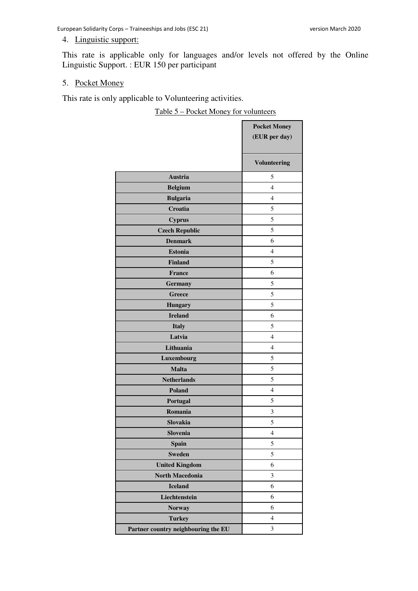## 4. Linguistic support:

This rate is applicable only for languages and/or levels not offered by the Online Linguistic Support. : EUR 150 per participant

## 5. Pocket Money

This rate is only applicable to Volunteering activities.

Table 5 – Pocket Money for volunteers

|                                     | <b>Pocket Money</b> |
|-------------------------------------|---------------------|
|                                     | (EUR per day)       |
|                                     | <b>Volunteering</b> |
| Austria                             | 5                   |
| <b>Belgium</b>                      | 4                   |
| <b>Bulgaria</b>                     | 4                   |
| Croatia                             | 5                   |
| <b>Cyprus</b>                       | 5                   |
| <b>Czech Republic</b>               | 5                   |
| <b>Denmark</b>                      | 6                   |
| <b>Estonia</b>                      | 4                   |
| <b>Finland</b>                      | 5                   |
| <b>France</b>                       | 6                   |
| <b>Germany</b>                      | 5                   |
| <b>Greece</b>                       | 5                   |
| <b>Hungary</b>                      | 5                   |
| <b>Ireland</b>                      | 6                   |
| <b>Italy</b>                        | 5                   |
| Latvia                              | 4                   |
| Lithuania                           | 4                   |
| Luxembourg                          | 5                   |
| <b>Malta</b>                        | 5                   |
| <b>Netherlands</b>                  | 5                   |
| <b>Poland</b>                       | 4                   |
| Portugal                            | 5                   |
| Romania                             | 3                   |
| Slovakia                            | 5                   |
| Slovenia                            | $\overline{4}$      |
| <b>Spain</b>                        | 5                   |
| <b>Sweden</b>                       | 5                   |
| <b>United Kingdom</b>               | 6                   |
| <b>North Macedonia</b>              | 3                   |
| <b>Iceland</b>                      | 6                   |
| Liechtenstein                       | 6                   |
| <b>Norway</b>                       | 6                   |
| <b>Turkey</b>                       | $\overline{4}$      |
| Partner country neighbouring the EU | 3                   |